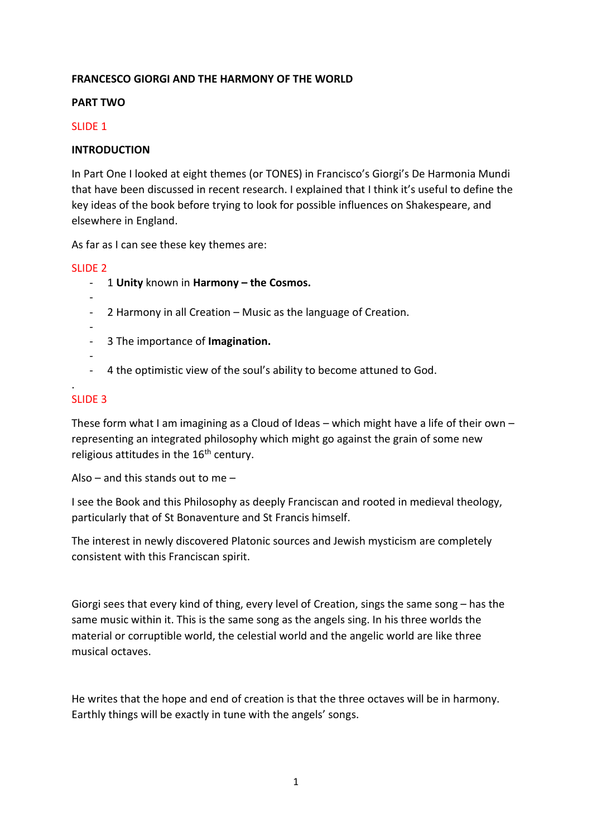# **FRANCESCO GIORGI AND THE HARMONY OF THE WORLD**

#### **PART TWO**

#### SLIDE 1

### **INTRODUCTION**

In Part One I looked at eight themes (or TONES) in Francisco's Giorgi's De Harmonia Mundi that have been discussed in recent research. I explained that I think it's useful to define the key ideas of the book before trying to look for possible influences on Shakespeare, and elsewhere in England.

As far as I can see these key themes are:

### SLIDE 2

- 1 **Unity** known in **Harmony – the Cosmos.**
- - 2 Harmony in all Creation – Music as the language of Creation.
- -
- 3 The importance of **Imagination.**
- -
- 4 the optimistic view of the soul's ability to become attuned to God.

#### . SLIDE 3

These form what I am imagining as a Cloud of Ideas – which might have a life of their own – representing an integrated philosophy which might go against the grain of some new religious attitudes in the  $16<sup>th</sup>$  century.

Also – and this stands out to me –

I see the Book and this Philosophy as deeply Franciscan and rooted in medieval theology, particularly that of St Bonaventure and St Francis himself.

The interest in newly discovered Platonic sources and Jewish mysticism are completely consistent with this Franciscan spirit.

Giorgi sees that every kind of thing, every level of Creation, sings the same song – has the same music within it. This is the same song as the angels sing. In his three worlds the material or corruptible world, the celestial world and the angelic world are like three musical octaves.

He writes that the hope and end of creation is that the three octaves will be in harmony. Earthly things will be exactly in tune with the angels' songs.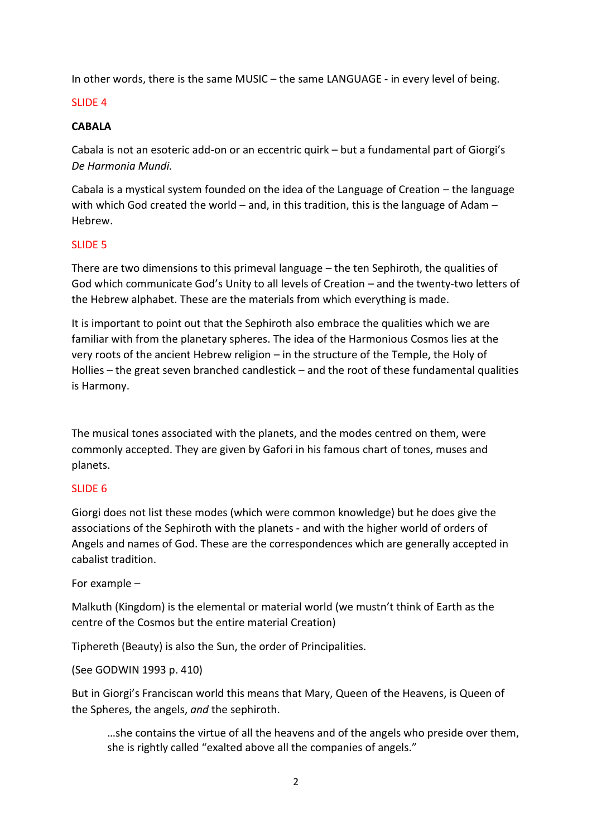In other words, there is the same MUSIC – the same LANGUAGE - in every level of being.

# SLIDE 4

# **CABALA**

Cabala is not an esoteric add-on or an eccentric quirk – but a fundamental part of Giorgi's *De Harmonia Mundi.*

Cabala is a mystical system founded on the idea of the Language of Creation – the language with which God created the world – and, in this tradition, this is the language of Adam – Hebrew.

# SLIDE 5

There are two dimensions to this primeval language – the ten Sephiroth, the qualities of God which communicate God's Unity to all levels of Creation – and the twenty-two letters of the Hebrew alphabet. These are the materials from which everything is made.

It is important to point out that the Sephiroth also embrace the qualities which we are familiar with from the planetary spheres. The idea of the Harmonious Cosmos lies at the very roots of the ancient Hebrew religion – in the structure of the Temple, the Holy of Hollies – the great seven branched candlestick – and the root of these fundamental qualities is Harmony.

The musical tones associated with the planets, and the modes centred on them, were commonly accepted. They are given by Gafori in his famous chart of tones, muses and planets.

# SLIDE 6

Giorgi does not list these modes (which were common knowledge) but he does give the associations of the Sephiroth with the planets - and with the higher world of orders of Angels and names of God. These are the correspondences which are generally accepted in cabalist tradition.

For example –

Malkuth (Kingdom) is the elemental or material world (we mustn't think of Earth as the centre of the Cosmos but the entire material Creation)

Tiphereth (Beauty) is also the Sun, the order of Principalities.

(See GODWIN 1993 p. 410)

But in Giorgi's Franciscan world this means that Mary, Queen of the Heavens, is Queen of the Spheres, the angels, *and* the sephiroth.

…she contains the virtue of all the heavens and of the angels who preside over them, she is rightly called "exalted above all the companies of angels."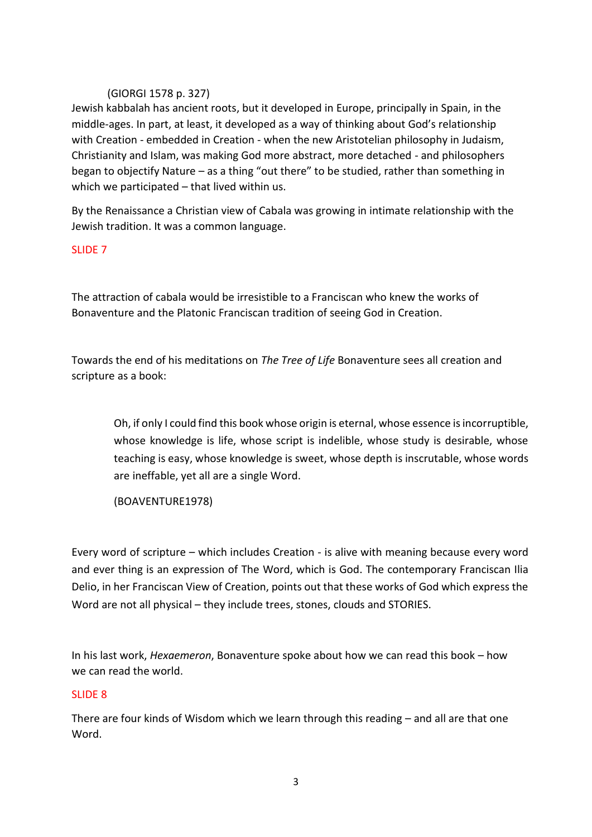# (GIORGI 1578 p. 327)

Jewish kabbalah has ancient roots, but it developed in Europe, principally in Spain, in the middle-ages. In part, at least, it developed as a way of thinking about God's relationship with Creation - embedded in Creation - when the new Aristotelian philosophy in Judaism, Christianity and Islam, was making God more abstract, more detached - and philosophers began to objectify Nature – as a thing "out there" to be studied, rather than something in which we participated – that lived within us.

By the Renaissance a Christian view of Cabala was growing in intimate relationship with the Jewish tradition. It was a common language.

# SLIDE 7

The attraction of cabala would be irresistible to a Franciscan who knew the works of Bonaventure and the Platonic Franciscan tradition of seeing God in Creation.

Towards the end of his meditations on *The Tree of Life* Bonaventure sees all creation and scripture as a book:

Oh, if only I could find this book whose origin is eternal, whose essence is incorruptible, whose knowledge is life, whose script is indelible, whose study is desirable, whose teaching is easy, whose knowledge is sweet, whose depth is inscrutable, whose words are ineffable, yet all are a single Word.

(BOAVENTURE1978)

Every word of scripture – which includes Creation - is alive with meaning because every word and ever thing is an expression of The Word, which is God. The contemporary Franciscan Ilia Delio, in her Franciscan View of Creation, points out that these works of God which express the Word are not all physical – they include trees, stones, clouds and STORIES.

In his last work, *Hexaemeron*, Bonaventure spoke about how we can read this book – how we can read the world.

# SLIDE 8

There are four kinds of Wisdom which we learn through this reading – and all are that one Word.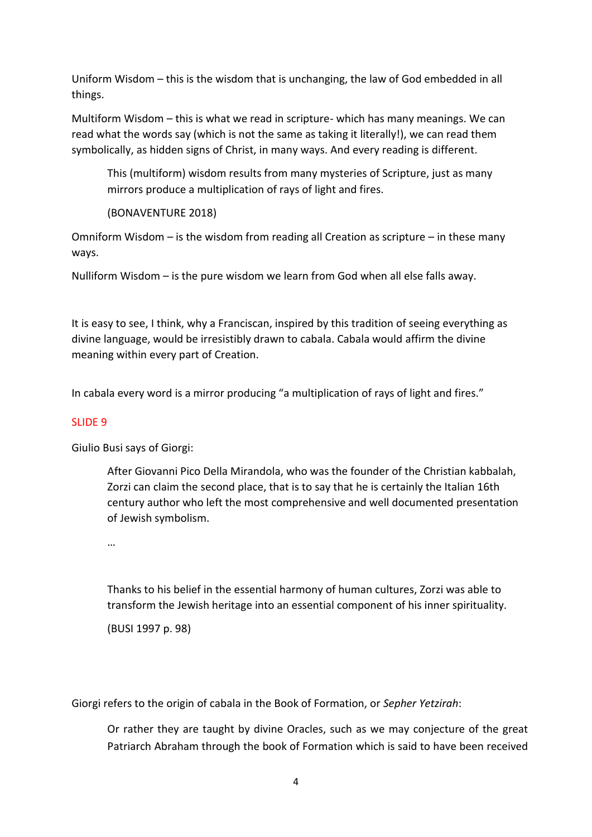Uniform Wisdom – this is the wisdom that is unchanging, the law of God embedded in all things.

Multiform Wisdom – this is what we read in scripture- which has many meanings. We can read what the words say (which is not the same as taking it literally!), we can read them symbolically, as hidden signs of Christ, in many ways. And every reading is different.

This (multiform) wisdom results from many mysteries of Scripture, just as many mirrors produce a multiplication of rays of light and fires.

(BONAVENTURE 2018)

Omniform Wisdom – is the wisdom from reading all Creation as scripture – in these many ways.

Nulliform Wisdom – is the pure wisdom we learn from God when all else falls away.

It is easy to see, I think, why a Franciscan, inspired by this tradition of seeing everything as divine language, would be irresistibly drawn to cabala. Cabala would affirm the divine meaning within every part of Creation.

In cabala every word is a mirror producing "a multiplication of rays of light and fires."

#### SLIDE 9

Giulio Busi says of Giorgi:

After Giovanni Pico Della Mirandola, who was the founder of the Christian kabbalah, Zorzi can claim the second place, that is to say that he is certainly the Italian 16th century author who left the most comprehensive and well documented presentation of Jewish symbolism.

…

Thanks to his belief in the essential harmony of human cultures, Zorzi was able to transform the Jewish heritage into an essential component of his inner spirituality.

(BUSI 1997 p. 98)

Giorgi refers to the origin of cabala in the Book of Formation, or *Sepher Yetzirah*:

Or rather they are taught by divine Oracles, such as we may conjecture of the great Patriarch Abraham through the book of Formation which is said to have been received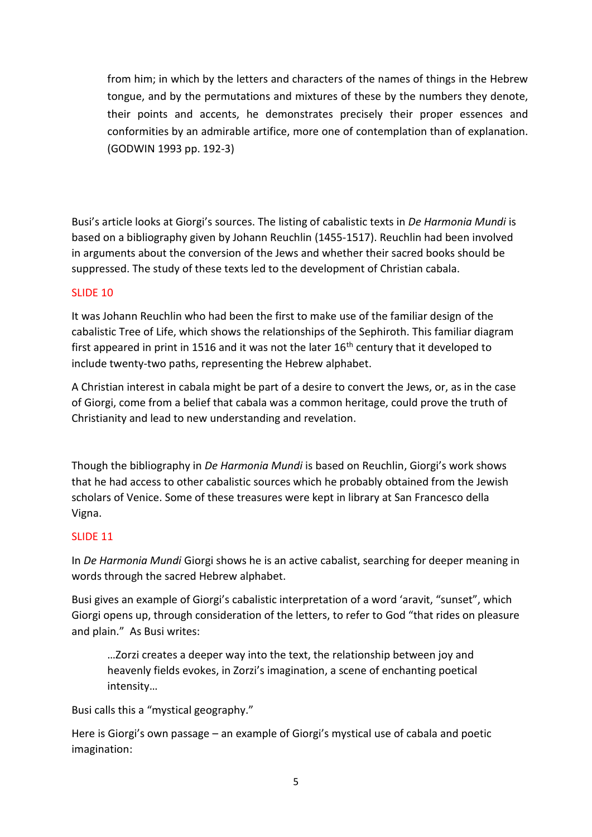from him; in which by the letters and characters of the names of things in the Hebrew tongue, and by the permutations and mixtures of these by the numbers they denote, their points and accents, he demonstrates precisely their proper essences and conformities by an admirable artifice, more one of contemplation than of explanation. (GODWIN 1993 pp. 192-3)

Busi's article looks at Giorgi's sources. The listing of cabalistic texts in *De Harmonia Mundi* is based on a bibliography given by Johann Reuchlin (1455-1517). Reuchlin had been involved in arguments about the conversion of the Jews and whether their sacred books should be suppressed. The study of these texts led to the development of Christian cabala.

# SLIDE 10

It was Johann Reuchlin who had been the first to make use of the familiar design of the cabalistic Tree of Life, which shows the relationships of the Sephiroth. This familiar diagram first appeared in print in 1516 and it was not the later  $16<sup>th</sup>$  century that it developed to include twenty-two paths, representing the Hebrew alphabet.

A Christian interest in cabala might be part of a desire to convert the Jews, or, as in the case of Giorgi, come from a belief that cabala was a common heritage, could prove the truth of Christianity and lead to new understanding and revelation.

Though the bibliography in *De Harmonia Mundi* is based on Reuchlin, Giorgi's work shows that he had access to other cabalistic sources which he probably obtained from the Jewish scholars of Venice. Some of these treasures were kept in library at San Francesco della Vigna.

#### SLIDE 11

In *De Harmonia Mundi* Giorgi shows he is an active cabalist, searching for deeper meaning in words through the sacred Hebrew alphabet.

Busi gives an example of Giorgi's cabalistic interpretation of a word 'aravit, "sunset", which Giorgi opens up, through consideration of the letters, to refer to God "that rides on pleasure and plain." As Busi writes:

…Zorzi creates a deeper way into the text, the relationship between joy and heavenly fields evokes, in Zorzi's imagination, a scene of enchanting poetical intensity…

Busi calls this a "mystical geography."

Here is Giorgi's own passage – an example of Giorgi's mystical use of cabala and poetic imagination: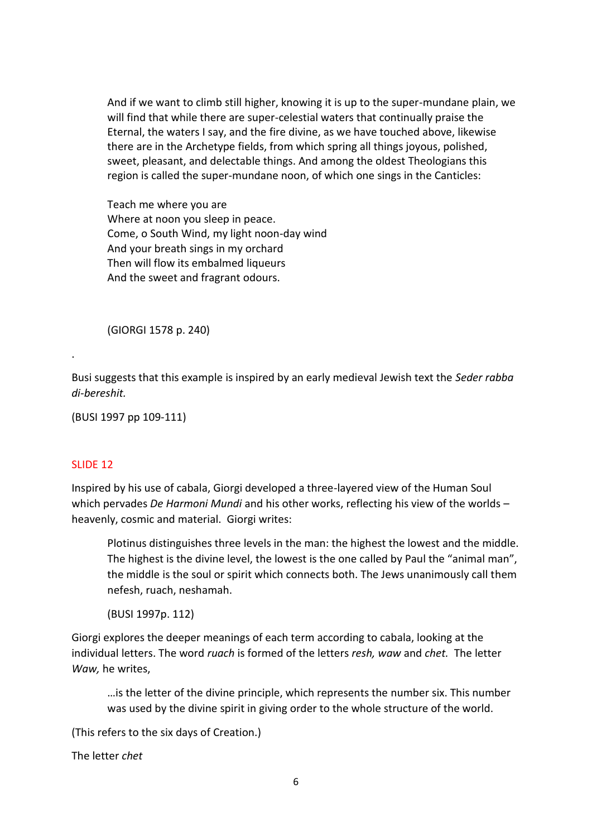And if we want to climb still higher, knowing it is up to the super-mundane plain, we will find that while there are super-celestial waters that continually praise the Eternal, the waters I say, and the fire divine, as we have touched above, likewise there are in the Archetype fields, from which spring all things joyous, polished, sweet, pleasant, and delectable things. And among the oldest Theologians this region is called the super-mundane noon, of which one sings in the Canticles:

Teach me where you are Where at noon you sleep in peace. Come, o South Wind, my light noon-day wind And your breath sings in my orchard Then will flow its embalmed liqueurs And the sweet and fragrant odours.

(GIORGI 1578 p. 240)

Busi suggests that this example is inspired by an early medieval Jewish text the *Seder rabba di-bereshit.*

(BUSI 1997 pp 109-111)

#### SLIDE 12

.

Inspired by his use of cabala, Giorgi developed a three-layered view of the Human Soul which pervades *De Harmoni Mundi* and his other works, reflecting his view of the worlds – heavenly, cosmic and material. Giorgi writes:

Plotinus distinguishes three levels in the man: the highest the lowest and the middle. The highest is the divine level, the lowest is the one called by Paul the "animal man", the middle is the soul or spirit which connects both. The Jews unanimously call them nefesh, ruach, neshamah.

(BUSI 1997p. 112)

Giorgi explores the deeper meanings of each term according to cabala, looking at the individual letters. The word *ruach* is formed of the letters *resh, waw* and *chet.* The letter *Waw,* he writes,

…is the letter of the divine principle, which represents the number six. This number was used by the divine spirit in giving order to the whole structure of the world.

(This refers to the six days of Creation.)

The letter *chet*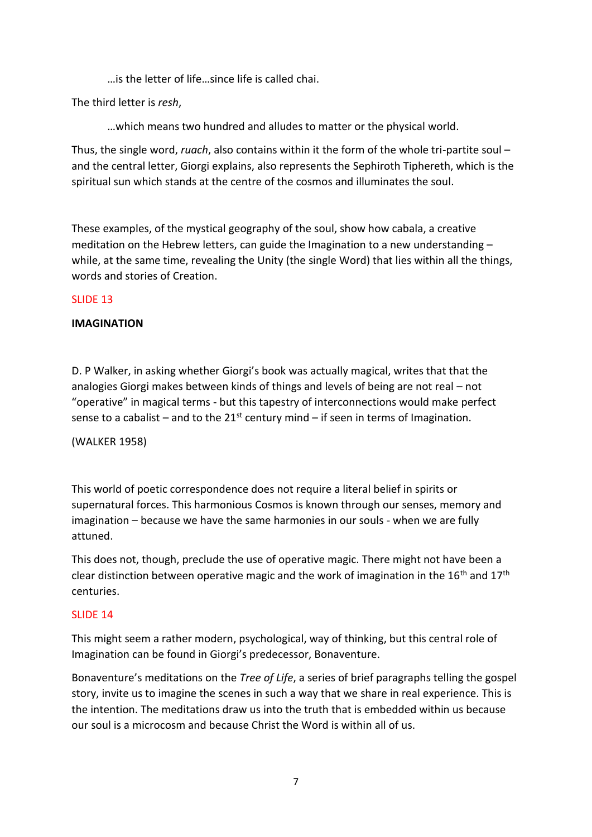…is the letter of life…since life is called chai.

The third letter is *resh*,

…which means two hundred and alludes to matter or the physical world.

Thus, the single word, *ruach*, also contains within it the form of the whole tri-partite soul – and the central letter, Giorgi explains, also represents the Sephiroth Tiphereth, which is the spiritual sun which stands at the centre of the cosmos and illuminates the soul.

These examples, of the mystical geography of the soul, show how cabala, a creative meditation on the Hebrew letters, can guide the Imagination to a new understanding – while, at the same time, revealing the Unity (the single Word) that lies within all the things, words and stories of Creation.

### SLIDE 13

### **IMAGINATION**

D. P Walker, in asking whether Giorgi's book was actually magical, writes that that the analogies Giorgi makes between kinds of things and levels of being are not real – not "operative" in magical terms - but this tapestry of interconnections would make perfect sense to a cabalist – and to the  $21^{st}$  century mind – if seen in terms of Imagination.

(WALKER 1958)

This world of poetic correspondence does not require a literal belief in spirits or supernatural forces. This harmonious Cosmos is known through our senses, memory and imagination – because we have the same harmonies in our souls - when we are fully attuned.

This does not, though, preclude the use of operative magic. There might not have been a clear distinction between operative magic and the work of imagination in the  $16<sup>th</sup>$  and  $17<sup>th</sup>$ centuries.

#### SLIDE 14

This might seem a rather modern, psychological, way of thinking, but this central role of Imagination can be found in Giorgi's predecessor, Bonaventure.

Bonaventure's meditations on the *Tree of Life*, a series of brief paragraphs telling the gospel story, invite us to imagine the scenes in such a way that we share in real experience. This is the intention. The meditations draw us into the truth that is embedded within us because our soul is a microcosm and because Christ the Word is within all of us.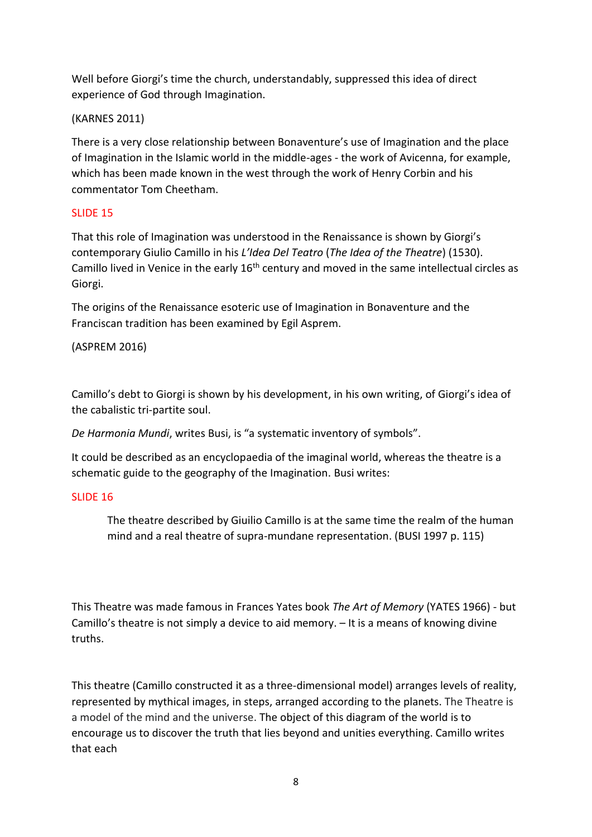Well before Giorgi's time the church, understandably, suppressed this idea of direct experience of God through Imagination.

# (KARNES 2011)

There is a very close relationship between Bonaventure's use of Imagination and the place of Imagination in the Islamic world in the middle-ages - the work of Avicenna, for example, which has been made known in the west through the work of Henry Corbin and his commentator Tom Cheetham.

# SLIDE 15

That this role of Imagination was understood in the Renaissance is shown by Giorgi's contemporary Giulio Camillo in his *L'Idea Del Teatro* (*The Idea of the Theatre*) (1530). Camillo lived in Venice in the early 16<sup>th</sup> century and moved in the same intellectual circles as Giorgi.

The origins of the Renaissance esoteric use of Imagination in Bonaventure and the Franciscan tradition has been examined by Egil Asprem.

(ASPREM 2016)

Camillo's debt to Giorgi is shown by his development, in his own writing, of Giorgi's idea of the cabalistic tri-partite soul.

*De Harmonia Mundi*, writes Busi, is "a systematic inventory of symbols".

It could be described as an encyclopaedia of the imaginal world, whereas the theatre is a schematic guide to the geography of the Imagination. Busi writes:

# SLIDE 16

The theatre described by Giuilio Camillo is at the same time the realm of the human mind and a real theatre of supra-mundane representation. (BUSI 1997 p. 115)

This Theatre was made famous in Frances Yates book *The Art of Memory* (YATES 1966) - but Camillo's theatre is not simply a device to aid memory. – It is a means of knowing divine truths.

This theatre (Camillo constructed it as a three-dimensional model) arranges levels of reality, represented by mythical images, in steps, arranged according to the planets. The Theatre is a model of the mind and the universe. The object of this diagram of the world is to encourage us to discover the truth that lies beyond and unities everything. Camillo writes that each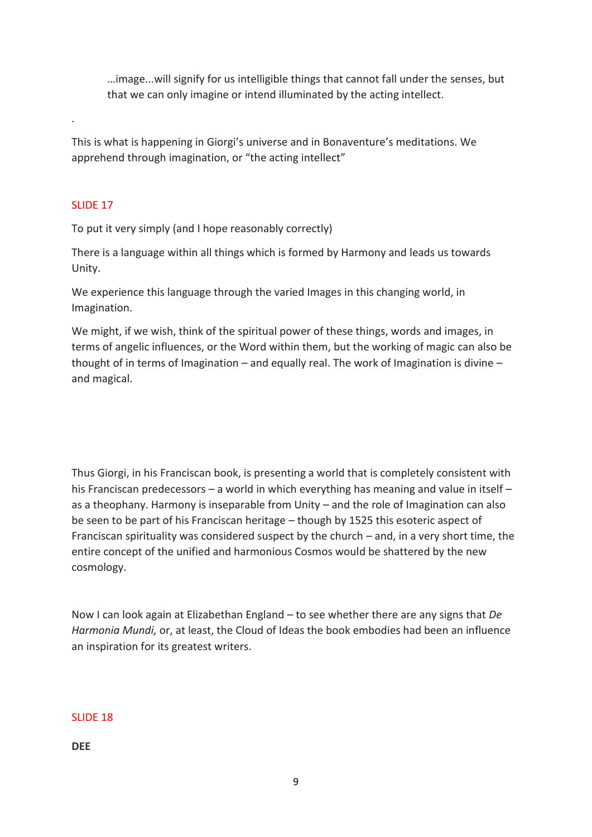…image...will signify for us intelligible things that cannot fall under the senses, but that we can only imagine or intend illuminated by the acting intellect.

This is what is happening in Giorgi's universe and in Bonaventure's meditations. We apprehend through imagination, or "the acting intellect"

# SLIDE 17

.

To put it very simply (and I hope reasonably correctly)

There is a language within all things which is formed by Harmony and leads us towards Unity.

We experience this language through the varied Images in this changing world, in Imagination.

We might, if we wish, think of the spiritual power of these things, words and images, in terms of angelic influences, or the Word within them, but the working of magic can also be thought of in terms of Imagination – and equally real. The work of Imagination is divine – and magical.

Thus Giorgi, in his Franciscan book, is presenting a world that is completely consistent with his Franciscan predecessors – a world in which everything has meaning and value in itself – as a theophany. Harmony is inseparable from Unity – and the role of Imagination can also be seen to be part of his Franciscan heritage – though by 1525 this esoteric aspect of Franciscan spirituality was considered suspect by the church – and, in a very short time, the entire concept of the unified and harmonious Cosmos would be shattered by the new cosmology.

Now I can look again at Elizabethan England – to see whether there are any signs that *De Harmonia Mundi,* or, at least, the Cloud of Ideas the book embodies had been an influence an inspiration for its greatest writers.

# SLIDE 18

**DEE**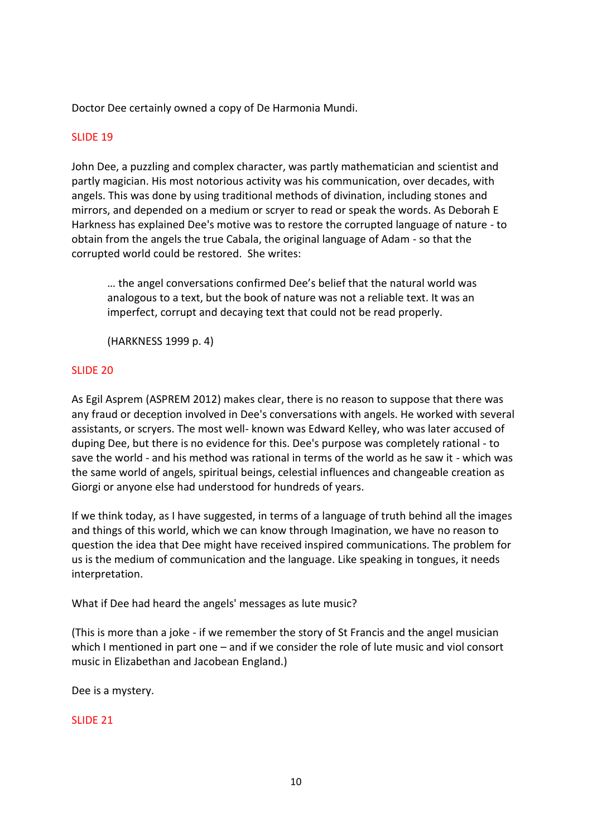Doctor Dee certainly owned a copy of De Harmonia Mundi.

### SLIDE 19

John Dee, a puzzling and complex character, was partly mathematician and scientist and partly magician. His most notorious activity was his communication, over decades, with angels. This was done by using traditional methods of divination, including stones and mirrors, and depended on a medium or scryer to read or speak the words. As Deborah E Harkness has explained Dee's motive was to restore the corrupted language of nature - to obtain from the angels the true Cabala, the original language of Adam - so that the corrupted world could be restored. She writes:

… the angel conversations confirmed Dee's belief that the natural world was analogous to a text, but the book of nature was not a reliable text. It was an imperfect, corrupt and decaying text that could not be read properly.

(HARKNESS 1999 p. 4)

#### SLIDE 20

As Egil Asprem (ASPREM 2012) makes clear, there is no reason to suppose that there was any fraud or deception involved in Dee's conversations with angels. He worked with several assistants, or scryers. The most well- known was Edward Kelley, who was later accused of duping Dee, but there is no evidence for this. Dee's purpose was completely rational - to save the world - and his method was rational in terms of the world as he saw it - which was the same world of angels, spiritual beings, celestial influences and changeable creation as Giorgi or anyone else had understood for hundreds of years.

If we think today, as I have suggested, in terms of a language of truth behind all the images and things of this world, which we can know through Imagination, we have no reason to question the idea that Dee might have received inspired communications. The problem for us is the medium of communication and the language. Like speaking in tongues, it needs interpretation.

What if Dee had heard the angels' messages as lute music?

(This is more than a joke - if we remember the story of St Francis and the angel musician which I mentioned in part one – and if we consider the role of lute music and viol consort music in Elizabethan and Jacobean England.)

Dee is a mystery.

#### SLIDE 21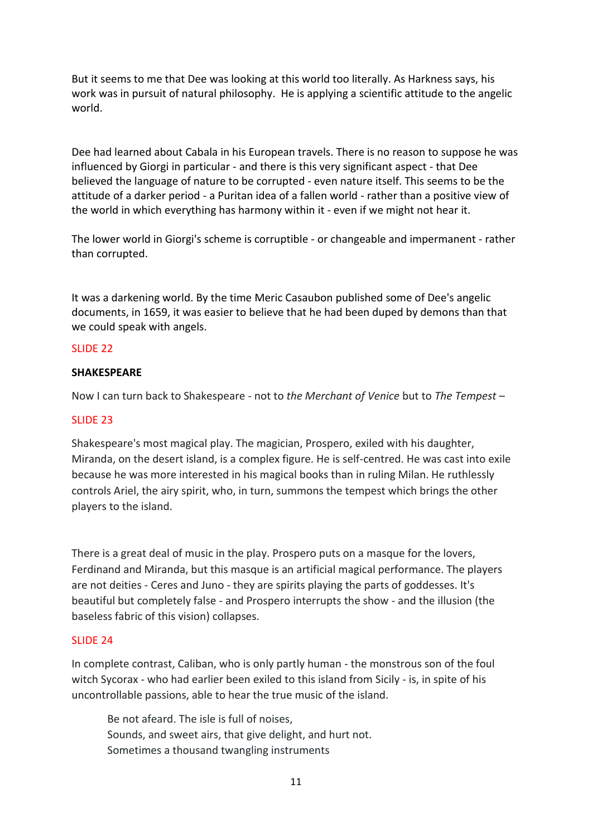But it seems to me that Dee was looking at this world too literally. As Harkness says, his work was in pursuit of natural philosophy. He is applying a scientific attitude to the angelic world.

Dee had learned about Cabala in his European travels. There is no reason to suppose he was influenced by Giorgi in particular - and there is this very significant aspect - that Dee believed the language of nature to be corrupted - even nature itself. This seems to be the attitude of a darker period - a Puritan idea of a fallen world - rather than a positive view of the world in which everything has harmony within it - even if we might not hear it.

The lower world in Giorgi's scheme is corruptible - or changeable and impermanent - rather than corrupted.

It was a darkening world. By the time Meric Casaubon published some of Dee's angelic documents, in 1659, it was easier to believe that he had been duped by demons than that we could speak with angels.

### SLIDE 22

#### **SHAKESPEARE**

Now I can turn back to Shakespeare - not to *the Merchant of Venice* but to *The Tempest* –

#### SLIDE 23

Shakespeare's most magical play. The magician, Prospero, exiled with his daughter, Miranda, on the desert island, is a complex figure. He is self-centred. He was cast into exile because he was more interested in his magical books than in ruling Milan. He ruthlessly controls Ariel, the airy spirit, who, in turn, summons the tempest which brings the other players to the island.

There is a great deal of music in the play. Prospero puts on a masque for the lovers, Ferdinand and Miranda, but this masque is an artificial magical performance. The players are not deities - Ceres and Juno - they are spirits playing the parts of goddesses. It's beautiful but completely false - and Prospero interrupts the show - and the illusion (the baseless fabric of this vision) collapses.

#### SLIDE 24

In complete contrast, Caliban, who is only partly human - the monstrous son of the foul witch Sycorax - who had earlier been exiled to this island from Sicily - is, in spite of his uncontrollable passions, able to hear the true music of the island.

Be not afeard. The isle is full of noises, Sounds, and sweet airs, that give delight, and hurt not. Sometimes a thousand twangling instruments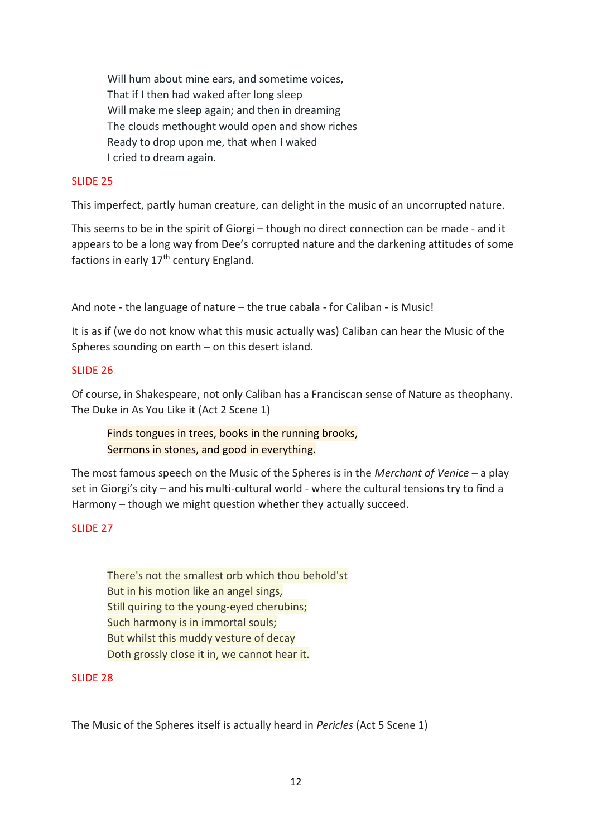Will hum about mine ears, and sometime voices, That if I then had waked after long sleep Will make me sleep again; and then in dreaming The clouds methought would open and show riches Ready to drop upon me, that when I waked I cried to dream again.

### SLIDE 25

This imperfect, partly human creature, can delight in the music of an uncorrupted nature.

This seems to be in the spirit of Giorgi – though no direct connection can be made - and it appears to be a long way from Dee's corrupted nature and the darkening attitudes of some factions in early 17<sup>th</sup> century England.

And note - the language of nature – the true cabala - for Caliban - is Music!

It is as if (we do not know what this music actually was) Caliban can hear the Music of the Spheres sounding on earth – on this desert island.

#### SLIDE 26

Of course, in Shakespeare, not only Caliban has a Franciscan sense of Nature as theophany. The Duke in As You Like it (Act 2 Scene 1)

Finds tongues in trees, books in the running brooks, Sermons in stones, and good in everything.

The most famous speech on the Music of the Spheres is in the *Merchant of Venice* – a play set in Giorgi's city – and his multi-cultural world - where the cultural tensions try to find a Harmony – though we might question whether they actually succeed.

#### SLIDE 27

There's not the smallest orb which thou behold'st But in his motion like an angel sings, Still quiring to the young-eyed cherubins; Such harmony is in immortal souls; But whilst this muddy vesture of decay Doth grossly close it in, we cannot hear it.

#### SLIDE 28

The Music of the Spheres itself is actually heard in *Pericles* (Act 5 Scene 1)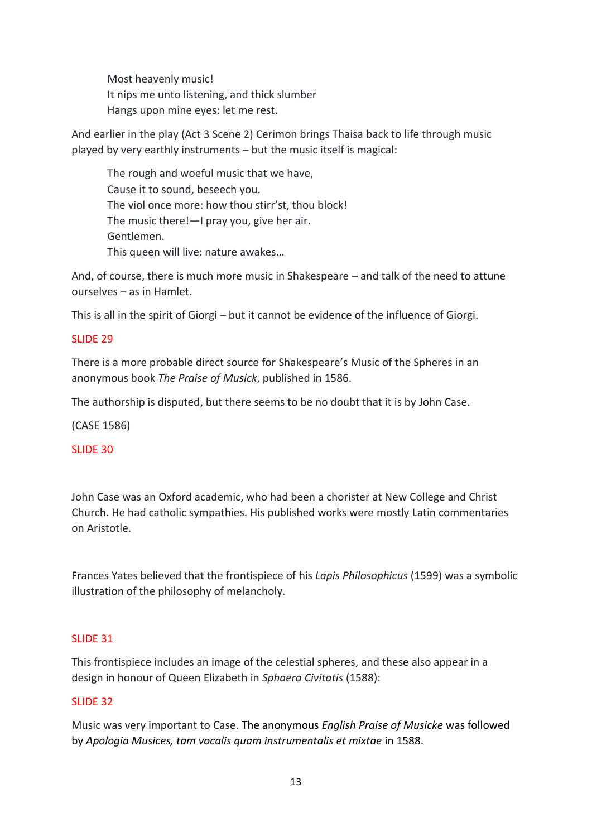Most heavenly music! It nips me unto listening, and thick slumber Hangs upon mine eyes: let me rest.

And earlier in the play (Act 3 Scene 2) Cerimon brings Thaisa back to life through music played by very earthly instruments – but the music itself is magical:

The rough and woeful music that we have, Cause it to sound, beseech you. The viol once more: how thou stirr'st, thou block! The music there!—I pray you, give her air. Gentlemen. This queen will live: nature awakes…

And, of course, there is much more music in Shakespeare – and talk of the need to attune ourselves – as in Hamlet.

This is all in the spirit of Giorgi – but it cannot be evidence of the influence of Giorgi.

# SLIDE 29

There is a more probable direct source for Shakespeare's Music of the Spheres in an anonymous book *The Praise of Musick*, published in 1586.

The authorship is disputed, but there seems to be no doubt that it is by John Case.

(CASE 1586)

SLIDE 30

John Case was an Oxford academic, who had been a chorister at New College and Christ Church. He had catholic sympathies. His published works were mostly Latin commentaries on Aristotle.

Frances Yates believed that the frontispiece of his *Lapis Philosophicus* (1599) was a symbolic illustration of the philosophy of melancholy.

# SLIDE 31

This frontispiece includes an image of the celestial spheres, and these also appear in a design in honour of Queen Elizabeth in *Sphaera Civitatis* (1588):

# SLIDE 32

Music was very important to Case. The anonymous *English Praise of Musicke* was followed by *Apologia Musices, tam vocalis quam instrumentalis et mixtae* in 1588.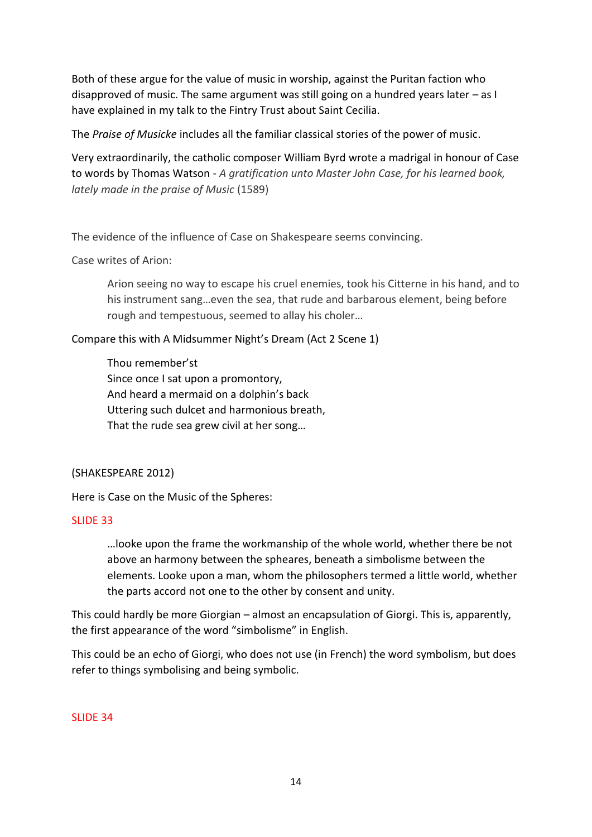Both of these argue for the value of music in worship, against the Puritan faction who disapproved of music. The same argument was still going on a hundred years later – as I have explained in my talk to the Fintry Trust about Saint Cecilia.

The *Praise of Musicke* includes all the familiar classical stories of the power of music.

Very extraordinarily, the catholic composer William Byrd wrote a madrigal in honour of Case to words by Thomas Watson - *A gratification unto Master John Case, for his learned book, lately made in the praise of Music* (1589)

The evidence of the influence of Case on Shakespeare seems convincing.

Case writes of Arion:

Arion seeing no way to escape his cruel enemies, took his Citterne in his hand, and to his instrument sang…even the sea, that rude and barbarous element, being before rough and tempestuous, seemed to allay his choler…

Compare this with A Midsummer Night's Dream (Act 2 Scene 1)

Thou remember'st Since once I sat upon a promontory, And heard a mermaid on a dolphin's back Uttering such dulcet and harmonious breath, That the rude sea grew civil at her song…

# (SHAKESPEARE 2012)

Here is Case on the Music of the Spheres:

#### SLIDE 33

…looke upon the frame the workmanship of the whole world, whether there be not above an harmony between the spheares, beneath a simbolisme between the elements. Looke upon a man, whom the philosophers termed a little world, whether the parts accord not one to the other by consent and unity.

This could hardly be more Giorgian – almost an encapsulation of Giorgi. This is, apparently, the first appearance of the word "simbolisme" in English.

This could be an echo of Giorgi, who does not use (in French) the word symbolism, but does refer to things symbolising and being symbolic.

#### SLIDE 34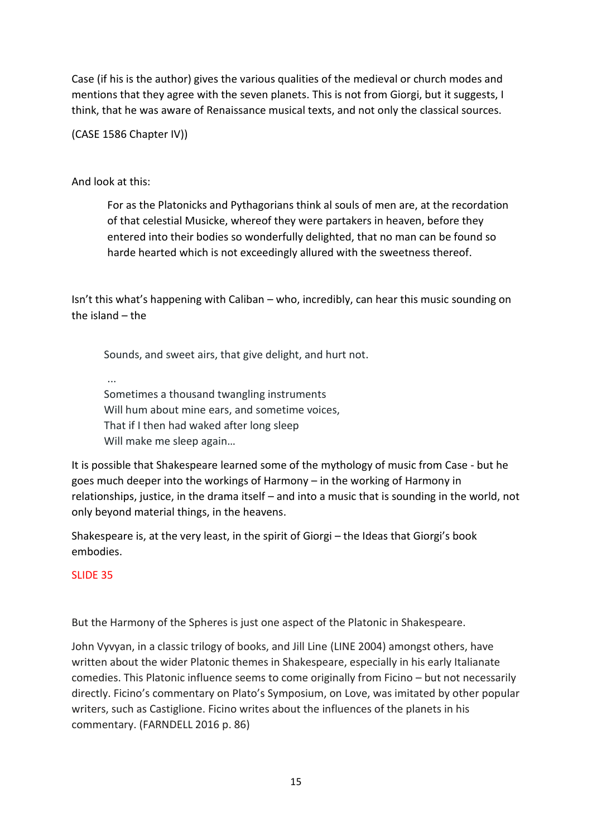Case (if his is the author) gives the various qualities of the medieval or church modes and mentions that they agree with the seven planets. This is not from Giorgi, but it suggests, I think, that he was aware of Renaissance musical texts, and not only the classical sources.

(CASE 1586 Chapter IV))

# And look at this:

For as the Platonicks and Pythagorians think al souls of men are, at the recordation of that celestial Musicke, whereof they were partakers in heaven, before they entered into their bodies so wonderfully delighted, that no man can be found so harde hearted which is not exceedingly allured with the sweetness thereof.

Isn't this what's happening with Caliban – who, incredibly, can hear this music sounding on the island – the

Sounds, and sweet airs, that give delight, and hurt not.

... Sometimes a thousand twangling instruments Will hum about mine ears, and sometime voices, That if I then had waked after long sleep Will make me sleep again…

It is possible that Shakespeare learned some of the mythology of music from Case - but he goes much deeper into the workings of Harmony – in the working of Harmony in relationships, justice, in the drama itself – and into a music that is sounding in the world, not only beyond material things, in the heavens.

Shakespeare is, at the very least, in the spirit of Giorgi – the Ideas that Giorgi's book embodies.

# SLIDE 35

But the Harmony of the Spheres is just one aspect of the Platonic in Shakespeare.

John Vyvyan, in a classic trilogy of books, and Jill Line (LINE 2004) amongst others, have written about the wider Platonic themes in Shakespeare, especially in his early Italianate comedies. This Platonic influence seems to come originally from Ficino – but not necessarily directly. Ficino's commentary on Plato's Symposium, on Love, was imitated by other popular writers, such as Castiglione. Ficino writes about the influences of the planets in his commentary. (FARNDELL 2016 p. 86)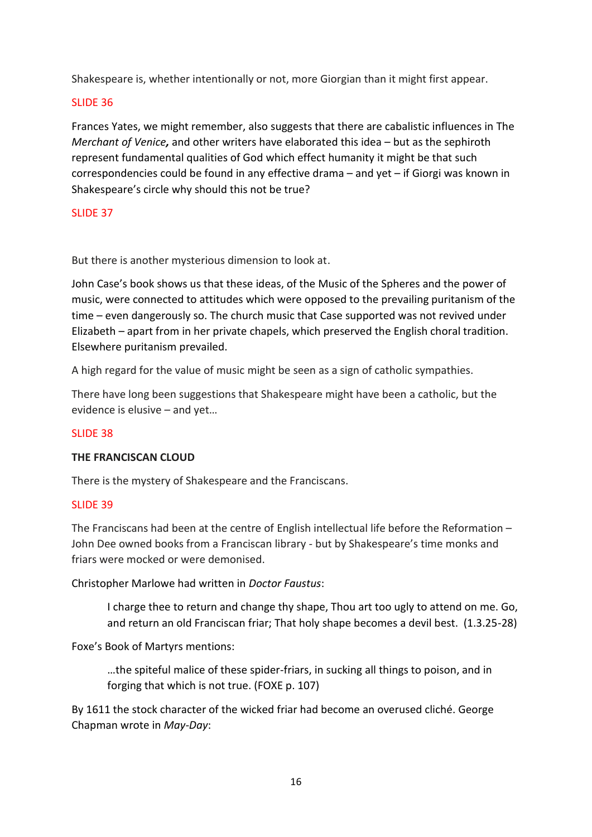Shakespeare is, whether intentionally or not, more Giorgian than it might first appear.

## SLIDE 36

Frances Yates, we might remember, also suggests that there are cabalistic influences in The *Merchant of Venice,* and other writers have elaborated this idea – but as the sephiroth represent fundamental qualities of God which effect humanity it might be that such correspondencies could be found in any effective drama – and yet – if Giorgi was known in Shakespeare's circle why should this not be true?

#### SLIDE 37

But there is another mysterious dimension to look at.

John Case's book shows us that these ideas, of the Music of the Spheres and the power of music, were connected to attitudes which were opposed to the prevailing puritanism of the time – even dangerously so. The church music that Case supported was not revived under Elizabeth – apart from in her private chapels, which preserved the English choral tradition. Elsewhere puritanism prevailed.

A high regard for the value of music might be seen as a sign of catholic sympathies.

There have long been suggestions that Shakespeare might have been a catholic, but the evidence is elusive – and yet…

#### SLIDE 38

#### **THE FRANCISCAN CLOUD**

There is the mystery of Shakespeare and the Franciscans.

#### SLIDE 39

The Franciscans had been at the centre of English intellectual life before the Reformation – John Dee owned books from a Franciscan library - but by Shakespeare's time monks and friars were mocked or were demonised.

Christopher Marlowe had written in *Doctor Faustus*:

I charge thee to return and change thy shape, Thou art too ugly to attend on me. Go, and return an old Franciscan friar; That holy shape becomes a devil best. (1.3.25-28)

Foxe's Book of Martyrs mentions:

…the spiteful malice of these spider-friars, in sucking all things to poison, and in forging that which is not true. (FOXE p. 107)

By 1611 the stock character of the wicked friar had become an overused cliché. George Chapman wrote in *May-Day*: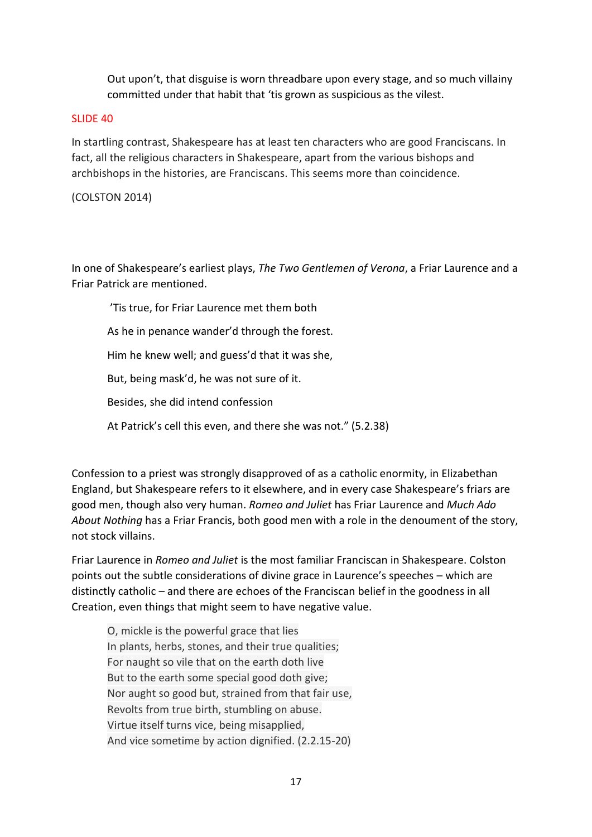Out upon't, that disguise is worn threadbare upon every stage, and so much villainy committed under that habit that 'tis grown as suspicious as the vilest.

#### SLIDE 40

In startling contrast, Shakespeare has at least ten characters who are good Franciscans. In fact, all the religious characters in Shakespeare, apart from the various bishops and archbishops in the histories, are Franciscans. This seems more than coincidence.

# (COLSTON 2014)

In one of Shakespeare's earliest plays, *The Two Gentlemen of Verona*, a Friar Laurence and a Friar Patrick are mentioned.

'Tis true, for Friar Laurence met them both As he in penance wander'd through the forest. Him he knew well; and guess'd that it was she, But, being mask'd, he was not sure of it. Besides, she did intend confession At Patrick's cell this even, and there she was not." (5.2.38)

Confession to a priest was strongly disapproved of as a catholic enormity, in Elizabethan England, but Shakespeare refers to it elsewhere, and in every case Shakespeare's friars are good men, though also very human. *Romeo and Juliet* has Friar Laurence and *Much Ado About Nothing* has a Friar Francis, both good men with a role in the denoument of the story, not stock villains.

Friar Laurence in *Romeo and Juliet* is the most familiar Franciscan in Shakespeare. Colston points out the subtle considerations of divine grace in Laurence's speeches – which are distinctly catholic – and there are echoes of the Franciscan belief in the goodness in all Creation, even things that might seem to have negative value.

O, mickle is the powerful grace that lies In plants, herbs, stones, and their true qualities; For naught so vile that on the earth doth live But to the earth some special good doth give; Nor aught so good but, strained from that fair use, Revolts from true birth, stumbling on abuse. Virtue itself turns vice, being misapplied, And vice sometime by action dignified. (2.2.15-20)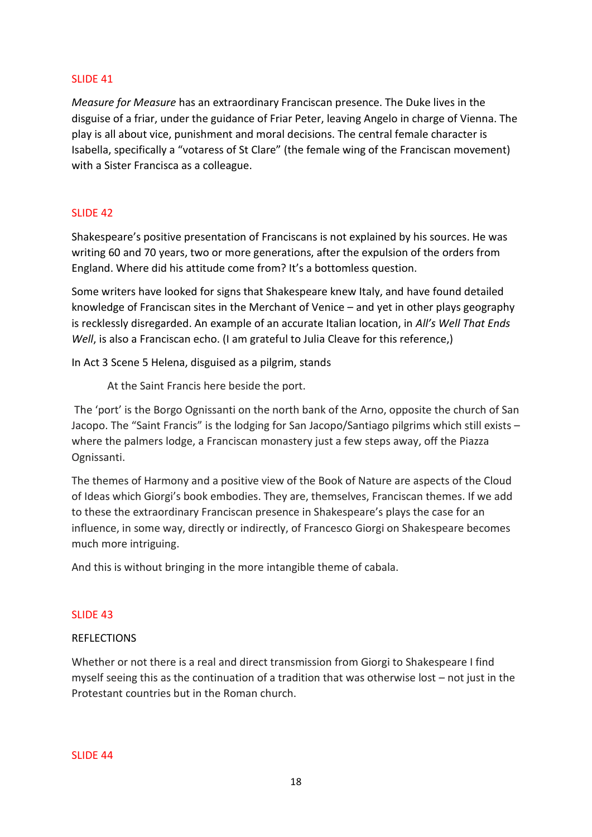#### SLIDE 41

*Measure for Measure* has an extraordinary Franciscan presence. The Duke lives in the disguise of a friar, under the guidance of Friar Peter, leaving Angelo in charge of Vienna. The play is all about vice, punishment and moral decisions. The central female character is Isabella, specifically a "votaress of St Clare" (the female wing of the Franciscan movement) with a Sister Francisca as a colleague.

### SLIDE 42

Shakespeare's positive presentation of Franciscans is not explained by his sources. He was writing 60 and 70 years, two or more generations, after the expulsion of the orders from England. Where did his attitude come from? It's a bottomless question.

Some writers have looked for signs that Shakespeare knew Italy, and have found detailed knowledge of Franciscan sites in the Merchant of Venice – and yet in other plays geography is recklessly disregarded. An example of an accurate Italian location, in *All's Well That Ends Well*, is also a Franciscan echo. (I am grateful to Julia Cleave for this reference,)

In Act 3 Scene 5 Helena, disguised as a pilgrim, stands

At the Saint Francis here beside the port.

The 'port' is the Borgo Ognissanti on the north bank of the Arno, opposite the church of San Jacopo. The "Saint Francis" is the lodging for San Jacopo/Santiago pilgrims which still exists – where the palmers lodge, a Franciscan monastery just a few steps away, off the Piazza Ognissanti.

The themes of Harmony and a positive view of the Book of Nature are aspects of the Cloud of Ideas which Giorgi's book embodies. They are, themselves, Franciscan themes. If we add to these the extraordinary Franciscan presence in Shakespeare's plays the case for an influence, in some way, directly or indirectly, of Francesco Giorgi on Shakespeare becomes much more intriguing.

And this is without bringing in the more intangible theme of cabala.

#### SLIDE 43

#### REFLECTIONS

Whether or not there is a real and direct transmission from Giorgi to Shakespeare I find myself seeing this as the continuation of a tradition that was otherwise lost – not just in the Protestant countries but in the Roman church.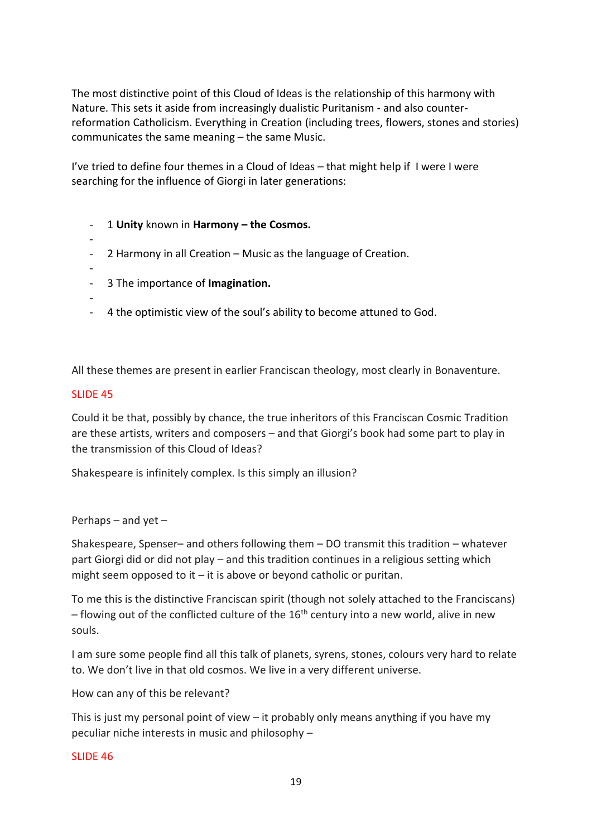The most distinctive point of this Cloud of Ideas is the relationship of this harmony with Nature. This sets it aside from increasingly dualistic Puritanism - and also counterreformation Catholicism. Everything in Creation (including trees, flowers, stones and stories) communicates the same meaning – the same Music.

I've tried to define four themes in a Cloud of Ideas – that might help if I were I were searching for the influence of Giorgi in later generations:

- 1 **Unity** known in **Harmony – the Cosmos.**
- - 2 Harmony in all Creation – Music as the language of Creation.
- -

-

- 3 The importance of **Imagination.**
- 
- 4 the optimistic view of the soul's ability to become attuned to God.

All these themes are present in earlier Franciscan theology, most clearly in Bonaventure.

### SLIDE 45

Could it be that, possibly by chance, the true inheritors of this Franciscan Cosmic Tradition are these artists, writers and composers – and that Giorgi's book had some part to play in the transmission of this Cloud of Ideas?

Shakespeare is infinitely complex. Is this simply an illusion?

#### Perhaps – and yet –

Shakespeare, Spenser– and others following them – DO transmit this tradition – whatever part Giorgi did or did not play – and this tradition continues in a religious setting which might seem opposed to it – it is above or beyond catholic or puritan.

To me this is the distinctive Franciscan spirit (though not solely attached to the Franciscans) – flowing out of the conflicted culture of the  $16<sup>th</sup>$  century into a new world, alive in new souls.

I am sure some people find all this talk of planets, syrens, stones, colours very hard to relate to. We don't live in that old cosmos. We live in a very different universe.

How can any of this be relevant?

This is just my personal point of view – it probably only means anything if you have my peculiar niche interests in music and philosophy –

#### SLIDE 46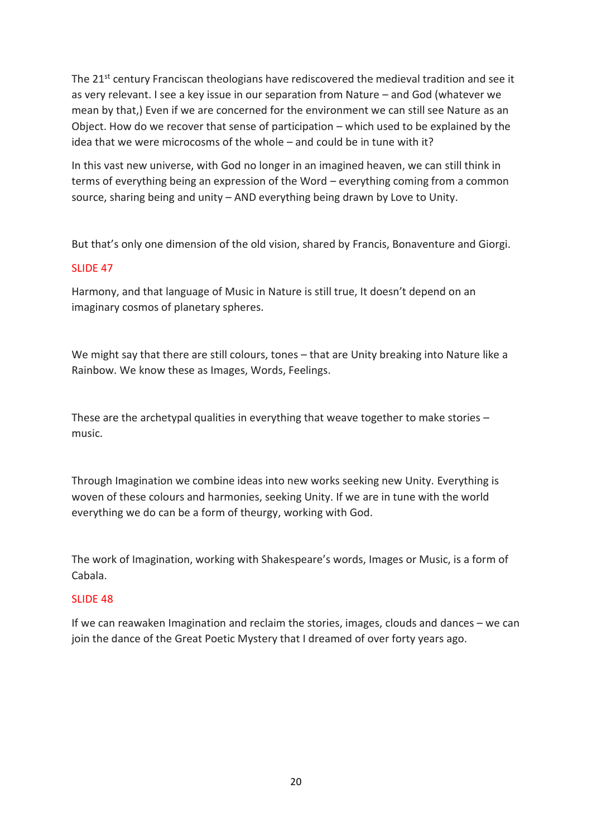The 21<sup>st</sup> century Franciscan theologians have rediscovered the medieval tradition and see it as very relevant. I see a key issue in our separation from Nature – and God (whatever we mean by that,) Even if we are concerned for the environment we can still see Nature as an Object. How do we recover that sense of participation – which used to be explained by the idea that we were microcosms of the whole – and could be in tune with it?

In this vast new universe, with God no longer in an imagined heaven, we can still think in terms of everything being an expression of the Word – everything coming from a common source, sharing being and unity – AND everything being drawn by Love to Unity.

But that's only one dimension of the old vision, shared by Francis, Bonaventure and Giorgi.

# SLIDE 47

Harmony, and that language of Music in Nature is still true, It doesn't depend on an imaginary cosmos of planetary spheres.

We might say that there are still colours, tones – that are Unity breaking into Nature like a Rainbow. We know these as Images, Words, Feelings.

These are the archetypal qualities in everything that weave together to make stories – music.

Through Imagination we combine ideas into new works seeking new Unity. Everything is woven of these colours and harmonies, seeking Unity. If we are in tune with the world everything we do can be a form of theurgy, working with God.

The work of Imagination, working with Shakespeare's words, Images or Music, is a form of Cabala.

# SLIDE 48

If we can reawaken Imagination and reclaim the stories, images, clouds and dances – we can join the dance of the Great Poetic Mystery that I dreamed of over forty years ago.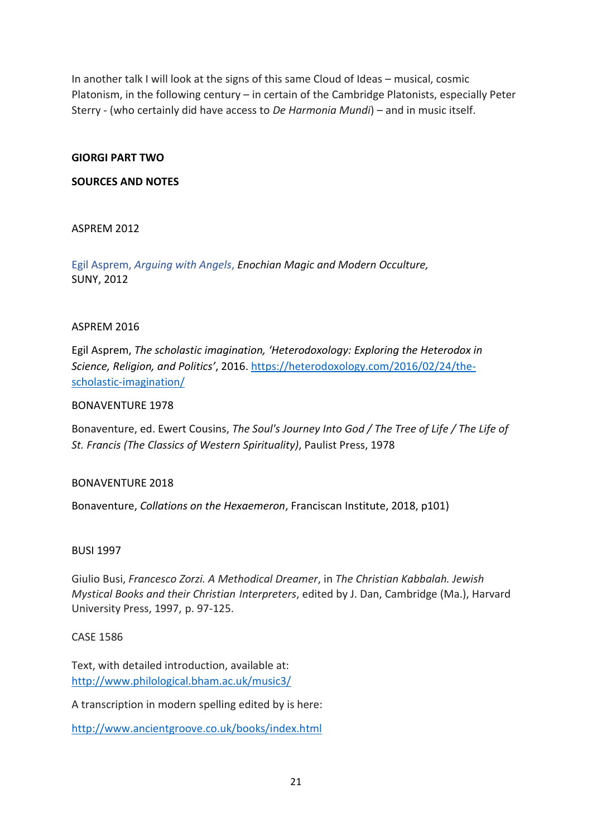In another talk I will look at the signs of this same Cloud of Ideas – musical, cosmic Platonism, in the following century – in certain of the Cambridge Platonists, especially Peter Sterry - (who certainly did have access to *De Harmonia Mundi*) – and in music itself.

#### **GIORGI PART TWO**

#### **SOURCES AND NOTES**

### ASPREM 2012

Egil Asprem, *Arguing with Angels*, *Enochian Magic and Modern Occulture,* SUNY, 2012

#### ASPREM 2016

Egil Asprem, *The scholastic imagination, 'Heterodoxology: Exploring the Heterodox in Science, Religion, and Politics'*, 2016. [https://heterodoxology.com/2016/02/24/the](https://heterodoxology.com/2016/02/24/the-scholastic-imagination/)[scholastic-imagination/](https://heterodoxology.com/2016/02/24/the-scholastic-imagination/)

#### BONAVENTURE 1978

Bonaventure, ed. Ewert Cousins, *The Soul's Journey Into God / The Tree of Life / The Life of St. Francis (The Classics of Western Spirituality)*, Paulist Press, 1978

#### BONAVENTURE 2018

Bonaventure, *Collations on the Hexaemeron*, Franciscan Institute, 2018, p101)

#### BUSI 1997

Giulio Busi, *Francesco Zorzi. A Methodical Dreamer*, in *The Christian Kabbalah. Jewish Mystical Books and their Christian Interpreters*, edited by J. Dan, Cambridge (Ma.), Harvard University Press, 1997, p. 97-125.

#### CASE 1586

Text, with detailed introduction, available at: <http://www.philological.bham.ac.uk/music3/>

A transcription in modern spelling edited by is here:

<http://www.ancientgroove.co.uk/books/index.html>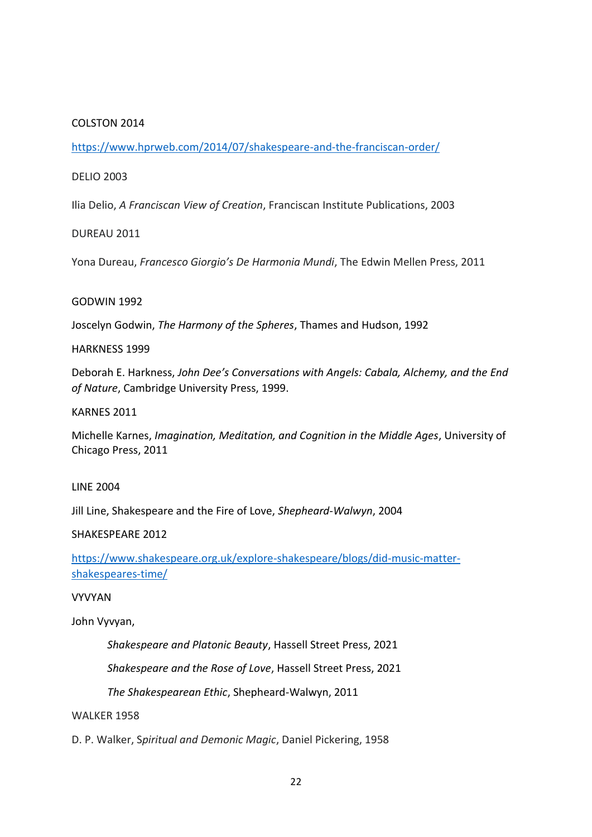### COLSTON 2014

<https://www.hprweb.com/2014/07/shakespeare-and-the-franciscan-order/>

#### DELIO 2003

Ilia Delio, *A Franciscan View of Creation*, Franciscan Institute Publications, 2003

#### DUREAU 2011

Yona Dureau, *Francesco Giorgio's De Harmonia Mundi*, The Edwin Mellen Press, 2011

#### GODWIN 1992

Joscelyn Godwin, *The Harmony of the Spheres*, Thames and Hudson, 1992

#### HARKNESS 1999

Deborah E. Harkness, *John Dee's Conversations with Angels: Cabala, Alchemy, and the End of Nature*, Cambridge University Press, 1999.

#### KARNES 2011

Michelle Karnes, *[Imagination, Meditation, and Cognition in the Middle Ages](https://www.amazon.co.uk/Imagination-Meditation-Cognition-Middle-Ages-ebook/dp/B009MBTRXE/ref=sr_1_1?crid=AWNJJBY7UMS5&keywords=michelle+karnes&qid=1644328520&s=digital-text&sprefix=michelle+karnes%2Cdigital-text%2C107&sr=1-1)*, University of Chicago Press, 2011

#### LINE 2004

Jill Line, Shakespeare and the Fire of Love, *Shepheard-Walwyn*, 2004

#### SHAKESPEARE 2012

[https://www.shakespeare.org.uk/explore-shakespeare/blogs/did-music-matter](https://www.shakespeare.org.uk/explore-shakespeare/blogs/did-music-matter-shakespeares-time/)[shakespeares-time/](https://www.shakespeare.org.uk/explore-shakespeare/blogs/did-music-matter-shakespeares-time/)

#### VYVYAN

John Vyvyan,

*Shakespeare and Platonic Beauty*, Hassell Street Press, 2021

*Shakespeare and the Rose of Love*, Hassell Street Press, 2021

*The Shakespearean Ethic*, Shepheard-Walwyn, 2011

#### WALKER 1958

D. P. Walker, S*piritual and Demonic Magic*, Daniel Pickering, 1958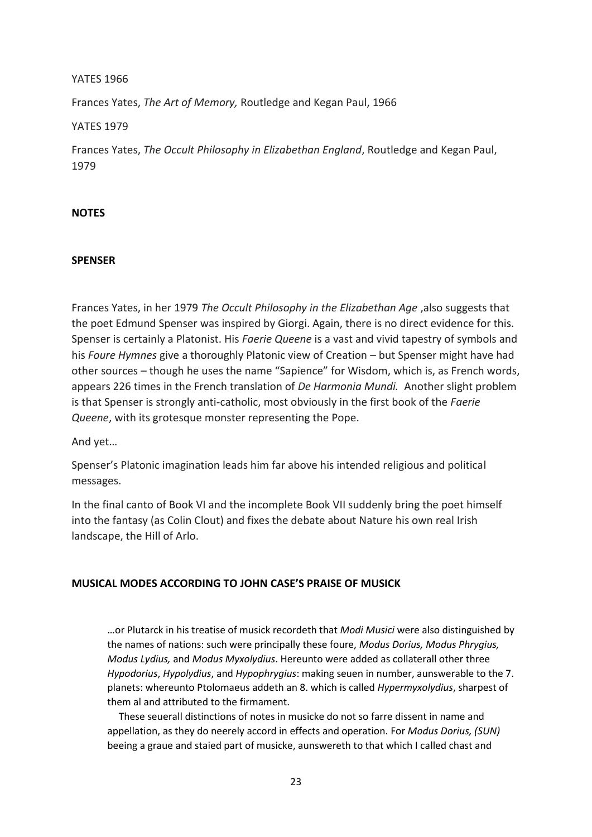#### YATES 1966

Frances Yates, *The Art of Memory,* Routledge and Kegan Paul, 1966

YATES 1979

Frances Yates, *The Occult Philosophy in Elizabethan England*, Routledge and Kegan Paul, 1979

### **NOTES**

#### **SPENSER**

Frances Yates, in her 1979 *The Occult Philosophy in the Elizabethan Age* ,also suggests that the poet Edmund Spenser was inspired by Giorgi. Again, there is no direct evidence for this. Spenser is certainly a Platonist. His *Faerie Queene* is a vast and vivid tapestry of symbols and his *Foure Hymnes* give a thoroughly Platonic view of Creation – but Spenser might have had other sources – though he uses the name "Sapience" for Wisdom, which is, as French words, appears 226 times in the French translation of *De Harmonia Mundi.* Another slight problem is that Spenser is strongly anti-catholic, most obviously in the first book of the *Faerie Queene*, with its grotesque monster representing the Pope.

And yet…

Spenser's Platonic imagination leads him far above his intended religious and political messages.

In the final canto of Book VI and the incomplete Book VII suddenly bring the poet himself into the fantasy (as Colin Clout) and fixes the debate about Nature his own real Irish landscape, the Hill of Arlo.

#### **MUSICAL MODES ACCORDING TO JOHN CASE'S PRAISE OF MUSICK**

…or Plutarck in his treatise of musick recordeth that *Modi Musici* were also distinguished by the names of nations: such were principally these foure, *Modus Dorius, Modus Phrygius, Modus Lydius,* and *Modus Myxolydius*. Hereunto were added as collaterall other three *Hypodorius*, *Hypolydius*, and *Hypophrygius*: making seuen in number, aunswerable to the 7. planets: whereunto Ptolomaeus addeth an 8. which is called *Hypermyxolydius*, sharpest of them al and attributed to the firmament.

These seuerall distinctions of notes in musicke do not so farre dissent in name and appellation, as they do neerely accord in effects and operation. For *Modus Dorius, (SUN)* beeing a graue and staied part of musicke, aunswereth to that which I called chast and